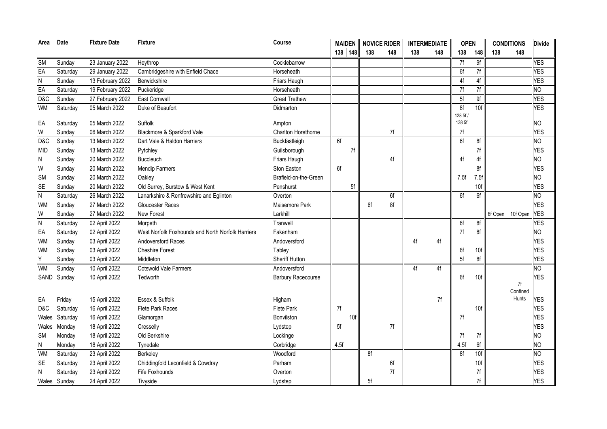| Area           | Date               | <b>Fixture Date</b> | Fixture                                           | Course                        |      |         | MAIDEN   NOVICE RIDER |     | <b>INTERMEDIATE</b> |     | <b>OPEN</b>      |                 | <b>CONDITIONS</b> |          | <b>Divide</b> |
|----------------|--------------------|---------------------|---------------------------------------------------|-------------------------------|------|---------|-----------------------|-----|---------------------|-----|------------------|-----------------|-------------------|----------|---------------|
|                |                    |                     |                                                   |                               |      | 138 148 | 138                   | 148 | 138                 | 148 | 138              | 148             | 138               | 148      |               |
| <b>SM</b>      | Sunday             | 23 January 2022     | Heythrop                                          | Cocklebarrow                  |      |         |                       |     |                     |     | 7f               | 9f              |                   |          | YES           |
| $E$ A          | Saturday           | 29 January 2022     | Cambridgeshire with Enfield Chace                 | Horseheath                    |      |         |                       |     |                     |     | 6f               | 7f              |                   |          | <b>YES</b>    |
| ${\sf N}$      | Sunday             | 13 February 2022    | Berwickshire                                      | Friars Haugh                  |      |         |                       |     |                     |     | 4f               | 4f              |                   |          | <b>YES</b>    |
| $E$ A          | Saturday           | 19 February 2022    | Puckeridge                                        | Horseheath                    |      |         |                       |     |                     |     | 7f               | 7f              |                   |          | <b>NO</b>     |
| D&C            | Sunday             | 27 February 2022    | East Cornwall                                     | <b>Great Trethew</b>          |      |         |                       |     |                     |     | 5f               | 9f              |                   |          | <b>YES</b>    |
| <b>WM</b>      | Saturday           | 05 March 2022       | Duke of Beaufort                                  | Didmarton                     |      |         |                       |     |                     |     | 8f               | 10 <sub>f</sub> |                   |          | <b>YES</b>    |
| EA             | Saturday           | 05 March 2022       | Suffolk                                           |                               |      |         |                       |     |                     |     | 128 5f<br>138 5f |                 |                   |          | NΟ            |
| W              |                    | 06 March 2022       | Blackmore & Sparkford Vale                        | Ampton<br>Charlton Horethorne |      |         |                       | 7f  |                     |     | 7f               |                 |                   |          | <b>YES</b>    |
| D&C            | Sunday<br>Sunday   | 13 March 2022       | Dart Vale & Haldon Harriers                       | Buckfastleigh                 | 6f   |         |                       |     |                     |     | 6f               | 8f              |                   |          | <b>NO</b>     |
|                |                    | 13 March 2022       |                                                   | Guilsborough                  |      |         |                       |     |                     |     |                  |                 |                   |          | <b>YES</b>    |
| mid            | Sunday             | 20 March 2022       | Pytchley<br><b>Buccleuch</b>                      | Friars Haugh                  |      | 7f      |                       | 4f  |                     |     | 4f               | 7f<br>4f        |                   |          | <b>NO</b>     |
| N<br>W         | Sunday             | 20 March 2022       | <b>Mendip Farmers</b>                             | Ston Easton                   | 6f   |         |                       |     |                     |     |                  | 8f              |                   |          | <b>YES</b>    |
| <b>SM</b>      | Sunday<br>Sunday   | 20 March 2022       | Oakley                                            | Brafield-on-the-Green         |      |         |                       |     |                     |     | 7.5f             | 7.5f            |                   |          | <b>NO</b>     |
| <b>SE</b>      |                    | 20 March 2022       | Old Surrey, Burstow & West Kent                   | Penshurst                     |      | 5f      |                       |     |                     |     |                  | 10f             |                   |          | <b>YES</b>    |
| ${\sf N}$      | Sunday<br>Saturday | 26 March 2022       | Lanarkshire & Renfrewshire and Eglinton           | Overton                       |      |         |                       | 6f  |                     |     | 6f               | 6f              |                   |          | NO            |
| <b>WM</b>      | Sunday             | 27 March 2022       | Gloucester Races                                  | Maisemore Park                |      |         | 6f                    | 8f  |                     |     |                  |                 |                   |          | <b>YES</b>    |
| W              | Sunday             | 27 March 2022       | <b>New Forest</b>                                 | Larkhill                      |      |         |                       |     |                     |     |                  |                 | 6f Open           | 10f Open | <b>YES</b>    |
| $\overline{N}$ | Saturday           | 02 April 2022       | Morpeth                                           | Tranwell                      |      |         |                       |     |                     |     | 6f               | 8f              |                   |          | <b>YES</b>    |
| EA             | Saturday           | 02 April 2022       | West Norfolk Foxhounds and North Norfolk Harriers | Fakenham                      |      |         |                       |     |                     |     | 7f               | 8f              |                   |          | <b>NO</b>     |
| <b>WM</b>      | Sunday             | 03 April 2022       | <b>Andoversford Races</b>                         | Andoversford                  |      |         |                       |     | 4f                  | 4f  |                  |                 |                   |          | <b>YES</b>    |
| <b>WM</b>      | Sunday             | 03 April 2022       | <b>Cheshire Forest</b>                            | Tabley                        |      |         |                       |     |                     |     | 6f               | 10f             |                   |          | <b>YES</b>    |
| Υ              | Sunday             | 03 April 2022       | Middleton                                         | Sheriff Hutton                |      |         |                       |     |                     |     | 5f               | 8f              |                   |          | <b>YES</b>    |
| <b>WM</b>      | Sunday             | 10 April 2022       | Cotswold Vale Farmers                             | Andoversford                  |      |         |                       |     | 4f                  | 4f  |                  |                 |                   |          | <b>NO</b>     |
| SAND           | Sunday             | 10 April 2022       | Tedworth                                          | <b>Barbury Racecourse</b>     |      |         |                       |     |                     |     | 6f               | 10f             |                   |          | <b>YES</b>    |
|                |                    |                     |                                                   |                               |      |         |                       |     |                     |     |                  |                 |                   | 7f       |               |
|                |                    |                     |                                                   |                               |      |         |                       |     |                     |     |                  |                 |                   | Confined |               |
| EA             | Friday             | 15 April 2022       | Essex & Suffolk                                   | Higham                        |      |         |                       |     |                     | 7f  |                  |                 |                   | Hunts    | YES           |
| D&C            | Saturday           | 16 April 2022       | Flete Park Races                                  | Flete Park                    | 7f   |         |                       |     |                     |     |                  | 10f             |                   |          | <b>YES</b>    |
| Wales          | Saturday           | 16 April 2022       | Glamorgan                                         | Bonvilston                    |      | 10f     |                       |     |                     |     | 7f               |                 |                   |          | <b>YES</b>    |
| Wales          | Monday             | 18 April 2022       | Cresselly                                         | Lydstep                       | 5f   |         |                       | 7f  |                     |     |                  |                 |                   |          | <b>YES</b>    |
| <b>SM</b>      | Monday             | 18 April 2022       | Old Berkshire                                     | Lockinge                      |      |         |                       |     |                     |     | 7f               | 7f              |                   |          | <b>NO</b>     |
| N              | Monday             | 18 April 2022       | Tynedale                                          | Corbridge                     | 4.5f |         |                       |     |                     |     | 4.5f             | 6f              |                   |          | <b>NO</b>     |
| <b>WM</b>      | Saturday           | 23 April 2022       | Berkeley                                          | Woodford                      |      |         | 8f                    |     |                     |     | 8f               | 10f             |                   |          | <b>NO</b>     |
| <b>SE</b>      | Saturday           | 23 April 2022       | Chiddingfold Leconfield & Cowdray                 | Parham                        |      |         |                       | 6f  |                     |     |                  | 10f             |                   |          | <b>YES</b>    |
| N              | Saturday           | 23 April 2022       | Fife Foxhounds                                    | Overton                       |      |         |                       | 7f  |                     |     |                  | 7f              |                   |          | <b>YES</b>    |
|                | Wales Sunday       | 24 April 2022       | Tivyside                                          | Lydstep                       |      |         | 5f                    |     |                     |     |                  | 7f              |                   |          | <b>YES</b>    |